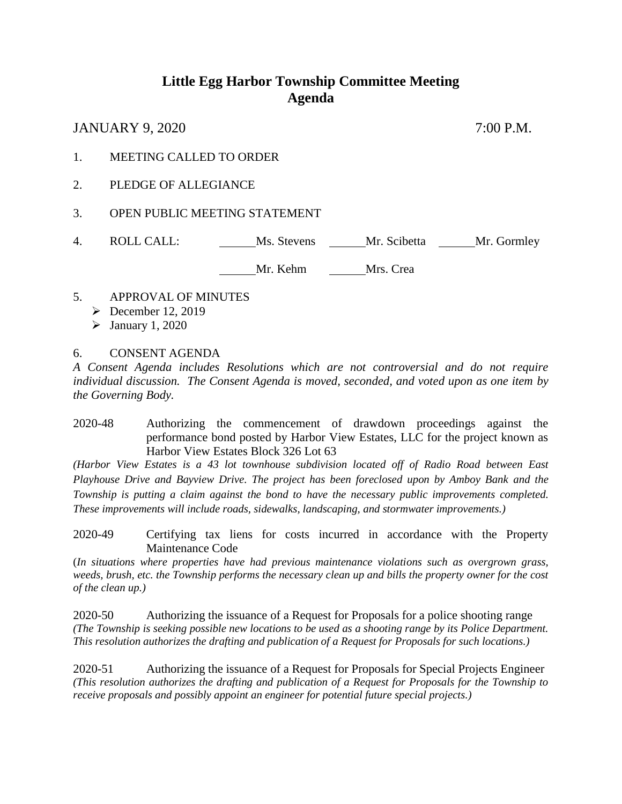## **Little Egg Harbor Township Committee Meeting Agenda**

JANUARY 9, 2020 7:00 P.M.

- 1. MEETING CALLED TO ORDER
- 2. PLEDGE OF ALLEGIANCE
- 3. OPEN PUBLIC MEETING STATEMENT
- 4. ROLL CALL: Ms. Stevens Mr. Scibetta Mr. Gormley

Mr. Kehm Mrs. Crea

- 5. APPROVAL OF MINUTES
	- $\triangleright$  December 12, 2019
	- $\blacktriangleright$  January 1, 2020

6. CONSENT AGENDA

*A Consent Agenda includes Resolutions which are not controversial and do not require individual discussion. The Consent Agenda is moved, seconded, and voted upon as one item by the Governing Body.* 

2020-48 Authorizing the commencement of drawdown proceedings against the performance bond posted by Harbor View Estates, LLC for the project known as Harbor View Estates Block 326 Lot 63

*(Harbor View Estates is a 43 lot townhouse subdivision located off of Radio Road between East Playhouse Drive and Bayview Drive. The project has been foreclosed upon by Amboy Bank and the Township is putting a claim against the bond to have the necessary public improvements completed. These improvements will include roads, sidewalks, landscaping, and stormwater improvements.)* 

2020-49 Certifying tax liens for costs incurred in accordance with the Property Maintenance Code

(*In situations where properties have had previous maintenance violations such as overgrown grass, weeds, brush, etc. the Township performs the necessary clean up and bills the property owner for the cost of the clean up.)* 

2020-50 Authorizing the issuance of a Request for Proposals for a police shooting range *(The Township is seeking possible new locations to be used as a shooting range by its Police Department. This resolution authorizes the drafting and publication of a Request for Proposals for such locations.)* 

2020-51 Authorizing the issuance of a Request for Proposals for Special Projects Engineer *(This resolution authorizes the drafting and publication of a Request for Proposals for the Township to receive proposals and possibly appoint an engineer for potential future special projects.)*